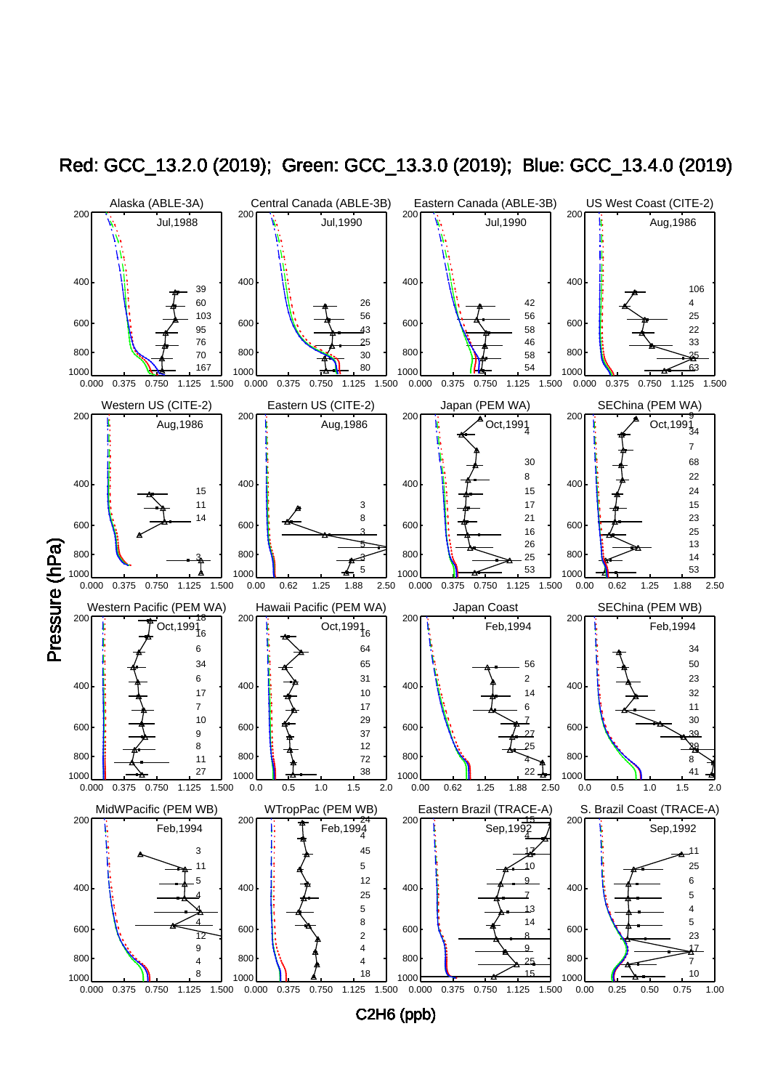

Red: GCC\_13.2.0 (2019); Green: GCC\_13.3.0 (2019); Blue: GCC\_13.4.0 (2019)

C2H6 (ppb)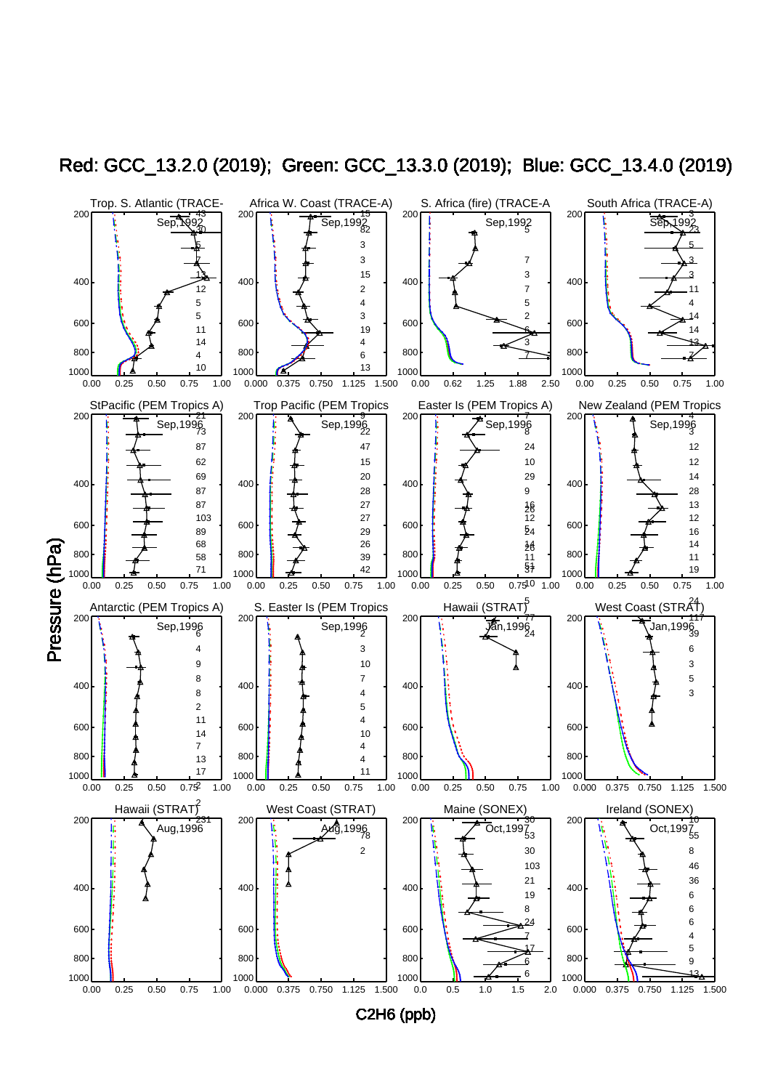

Red: GCC\_13.2.0 (2019); Green: GCC\_13.3.0 (2019); Blue: GCC\_13.4.0 (2019)

C2H6 (ppb)